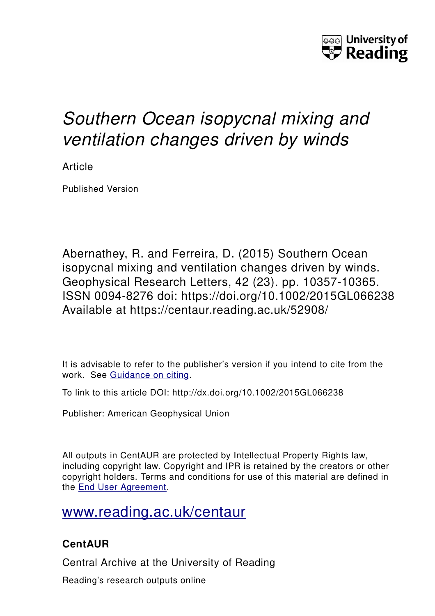

# *Southern Ocean isopycnal mixing and ventilation changes driven by winds*

Article

Published Version

Abernathey, R. and Ferreira, D. (2015) Southern Ocean isopycnal mixing and ventilation changes driven by winds. Geophysical Research Letters, 42 (23). pp. 10357-10365. ISSN 0094-8276 doi: https://doi.org/10.1002/2015GL066238 Available at https://centaur.reading.ac.uk/52908/

It is advisable to refer to the publisher's version if you intend to cite from the work. See [Guidance on citing.](http://centaur.reading.ac.uk/71187/10/CentAUR%20citing%20guide.pdf)

To link to this article DOI: http://dx.doi.org/10.1002/2015GL066238

Publisher: American Geophysical Union

All outputs in CentAUR are protected by Intellectual Property Rights law, including copyright law. Copyright and IPR is retained by the creators or other copyright holders. Terms and conditions for use of this material are defined in the [End User Agreement.](http://centaur.reading.ac.uk/licence)

[www.reading.ac.uk/centaur](http://www.reading.ac.uk/centaur)

## **CentAUR**

Central Archive at the University of Reading

Reading's research outputs online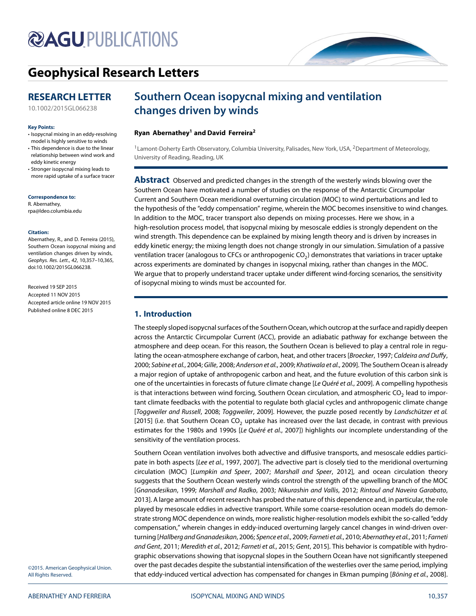# **@AGUPUBLICATIONS**

# **[Geophysical Research Letters](http://onlinelibrary.wiley.com/journal/10.1002/(ISSN)1944-8007)**

## **RESEARCH LETTER**

[10.1002/2015GL066238](http://dx.doi.org/10.1002/2015GL066238)

#### **Key Points:**

- Isopycnal mixing in an eddy-resolving model is highly sensitive to winds
- This dependence is due to the linear relationship between wind work and eddy kinetic energy
- Stronger isopycnal mixing leads to more rapid uptake of a surface tracer

**Correspondence to:**

R. Abernathey, rpa@ldeo.columbia.edu

#### **Citation:**

Abernathey, R., and D. Ferreira (2015), Southern Ocean isopycnal mixing and ventilation changes driven by winds, Geophys. Res. Lett., 42, 10,357–10,365, doi:10.1002/2015GL066238.

Received 19 SEP 2015 Accepted 11 NOV 2015 Accepted article online 19 NOV 2015 Published online 8 DEC 2015

# **Southern Ocean isopycnal mixing and ventilation changes driven by winds**

#### **Ryan Abernathey1 and David Ferreira2**

<sup>1</sup> Lamont-Doherty Earth Observatory, Columbia University, Palisades, New York, USA, <sup>2</sup>Department of Meteorology, University of Reading, Reading, UK

**Abstract** Observed and predicted changes in the strength of the westerly winds blowing over the Southern Ocean have motivated a number of studies on the response of the Antarctic Circumpolar Current and Southern Ocean meridional overturning circulation (MOC) to wind perturbations and led to the hypothesis of the "eddy compensation" regime, wherein the MOC becomes insensitive to wind changes. In addition to the MOC, tracer transport also depends on mixing processes. Here we show, in a high-resolution process model, that isopycnal mixing by mesoscale eddies is strongly dependent on the wind strength. This dependence can be explained by mixing length theory and is driven by increases in eddy kinetic energy; the mixing length does not change strongly in our simulation. Simulation of a passive ventilation tracer (analogous to CFCs or anthropogenic  $CO<sub>2</sub>$ ) demonstrates that variations in tracer uptake across experiments are dominated by changes in isopycnal mixing, rather than changes in the MOC. We argue that to properly understand tracer uptake under different wind-forcing scenarios, the sensitivity of isopycnal mixing to winds must be accounted for.

## **1. Introduction**

The steeply sloped isopycnal surfaces of the Southern Ocean, which outcrop at the surface and rapidly deepen across the Antarctic Circumpolar Current (ACC), provide an adiabatic pathway for exchange between the atmosphere and deep ocean. For this reason, the Southern Ocean is believed to play a central role in regu-lating the ocean-atmosphere exchange of carbon, heat, and other tracers [Broecker, [1997;](#page-7-0) Caldeira and Duffy, [2000;](#page-7-1) Sabine et al., [2004;](#page-8-0) Gille, [2008;](#page-8-1) Anderson et al., [2009;](#page-7-2) Khatiwala et al., [2009\]](#page-8-2). The Southern Ocean is already a major region of uptake of anthropogenic carbon and heat, and the future evolution of this carbon sink is one of the uncertainties in forecasts of future climate change [Le Quéré et al., [2009\]](#page-8-3). A compelling hypothesis is that interactions between wind forcing, Southern Ocean circulation, and atmospheric  $CO<sub>2</sub>$  lead to important climate feedbacks with the potential to regulate both glacial cycles and anthropogenic climate change [Toggweiler and Russell, [2008;](#page-9-0) Toggweiler, [2009\]](#page-9-1). However, the puzzle posed recently by Landschützer et al. [\[2015\]](#page-8-4) (i.e. that Southern Ocean CO<sub>2</sub> uptake has increased over the last decade, in contrast with previous estimates for the 1980s and 1990s [Le Quéré et al., [2007\]](#page-8-5)) highlights our incomplete understanding of the sensitivity of the ventilation process.

Southern Ocean ventilation involves both advective and diffusive transports, and mesoscale eddies partici-pate in both aspects [Lee et al., [1997,](#page-8-6) [2007\]](#page-8-7). The advective part is closely tied to the meridional overturning circulation (MOC) [Lumpkin and Speer, [2007;](#page-8-8) Marshall and Speer, [2012\]](#page-8-9), and ocean circulation theory suggests that the Southern Ocean westerly winds control the strength of the upwelling branch of the MOC [Gnanadesikan, [1999;](#page-8-10) Marshall and Radko, [2003;](#page-8-11) Nikurashin and Vallis, [2012;](#page-8-12) Rintoul and Naveira Garabato, [2013\]](#page-8-13). A large amount of recent research has probed the nature of this dependence and, in particular, the role played by mesoscale eddies in advective transport. While some coarse-resolution ocean models do demonstrate strong MOC dependence on winds, more realistic higher-resolution models exhibit the so-called "eddy compensation," wherein changes in eddy-induced overturning largely cancel changes in wind-driven overturning [Hallberg and Gnanadesikan, [2006;](#page-8-14) Spence et al., [2009;](#page-9-2) Farneti et al., [2010;](#page-7-3) Abernathey et al., [2011;](#page-7-4) Farneti and Gent, [2011;](#page-7-5) Meredith et al., [2012;](#page-8-15) Farneti et al., [2015;](#page-8-16) Gent, [2015\]](#page-8-17). This behavior is compatible with hydrographic observations showing that isopycnal slopes in the Southern Ocean have not significantly steepened over the past decades despite the substantial intensification of the westerlies over the same period, implying that eddy-induced vertical advection has compensated for changes in Ekman pumping [Böning et al., [2008\]](#page-7-6).

©2015. American Geophysical Union. All Rights Reserved.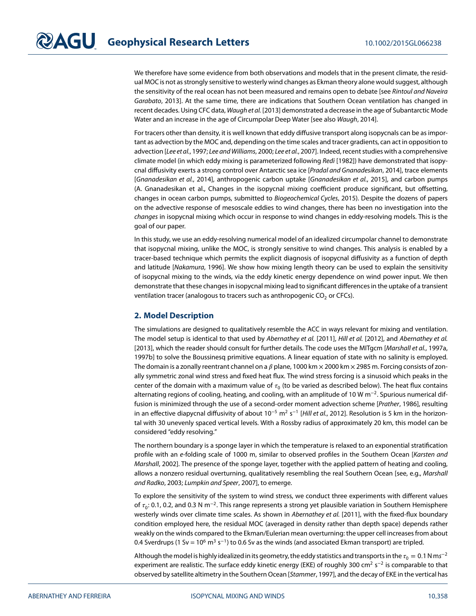We therefore have some evidence from both observations and models that in the present climate, the residual MOC is not as strongly sensitive to westerly wind changes as Ekman theory alone would suggest, although the sensitivity of the real ocean has not been measured and remains open to debate [see Rintoul and Naveira Garabato, [2013\]](#page-8-13). At the same time, there are indications that Southern Ocean ventilation has changed in recent decades. Using CFC data, Waugh et al. [\[2013\]](#page-9-3) demonstrated a decrease in the age of Subantarctic Mode Water and an increase in the age of Circumpolar Deep Water [see also Waugh, [2014\]](#page-9-4).

For tracers other than density, it is well known that eddy diffusive transport along isopycnals can be as important as advection by the MOC and, depending on the time scales and tracer gradients, can act in opposition to advection [Lee et al., [1997;](#page-8-6) Lee and Williams, [2000;](#page-8-18) Lee et al., [2007\]](#page-8-7). Indeed, recent studies with a comprehensive climate model (in which eddy mixing is parameterized following Redi [\[1982\]](#page-8-19)) have demonstrated that isopycnal diffusivity exerts a strong control over Antarctic sea ice [Pradal and Gnanadesikan, [2014\]](#page-8-20), trace elements [Gnanadesikan et al., [2014\]](#page-8-21), anthropogenic carbon uptake [Gnanadesikan et al., [2015\]](#page-8-22), and carbon pumps (A. Gnanadesikan et al., Changes in the isopycnal mixing coefficient produce significant, but offsetting, changes in ocean carbon pumps, submitted to Biogeochemical Cycles, 2015). Despite the dozens of papers on the advective response of mesoscale eddies to wind changes, there has been no investigation into the changes in isopycnal mixing which occur in response to wind changes in eddy-resolving models. This is the goal of our paper.

In this study, we use an eddy-resolving numerical model of an idealized circumpolar channel to demonstrate that isopycnal mixing, unlike the MOC, is strongly sensitive to wind changes. This analysis is enabled by a tracer-based technique which permits the explicit diagnosis of isopycnal diffusivity as a function of depth and latitude [Nakamura, [1996\]](#page-8-23). We show how mixing length theory can be used to explain the sensitivity of isopycnal mixing to the winds, via the eddy kinetic energy dependence on wind power input. We then demonstrate that these changes in isopycnal mixing lead to significant differences in the uptake of a transient ventilation tracer (analogous to tracers such as anthropogenic  $CO<sub>2</sub>$  or CFCs).

#### **2. Model Description**

The simulations are designed to qualitatively resemble the ACC in ways relevant for mixing and ventilation. The model setup is identical to that used by Abernathey et al. [\[2011\]](#page-7-4), Hill et al. [\[2012\]](#page-8-24), and Abernathey et al. [\[2013\]](#page-7-7), which the reader should consult for further details. The code uses the MITgcm [Marshall et al., [1997a,](#page-8-25) [1997b\]](#page-8-26) to solve the Boussinesq primitive equations. A linear equation of state with no salinity is employed. The domain is a zonally reentrant channel on a  $\beta$  plane, 1000 km  $\times$  2000 km  $\times$  2985 m. Forcing consists of zonally symmetric zonal wind stress and fixed heat flux. The wind stress forcing is a sinusoid which peaks in the center of the domain with a maximum value of  $\tau_0$  (to be varied as described below). The heat flux contains alternating regions of cooling, heating, and cooling, with an amplitude of 10 W m<sup>−</sup>2. Spurious numerical diffusion is minimized through the use of a second-order moment advection scheme [Prather, [1986\]](#page-8-27), resulting in an effective diapycnal diffusivity of about  $10^{-5}$  m<sup>2</sup> s<sup>-1</sup> [Hill et al., [2012\]](#page-8-24). Resolution is 5 km in the horizontal with 30 unevenly spaced vertical levels. With a Rossby radius of approximately 20 km, this model can be considered "eddy resolving."

The northern boundary is a sponge layer in which the temperature is relaxed to an exponential stratification profile with an e-folding scale of 1000 m, similar to observed profiles in the Southern Ocean [Karsten and Marshall, [2002\]](#page-8-28). The presence of the sponge layer, together with the applied pattern of heating and cooling, allows a nonzero residual overturning, qualitatively resembling the real Southern Ocean [see, e.g., Marshall and Radko, [2003;](#page-8-11) Lumpkin and Speer, [2007\]](#page-8-8), to emerge.

To explore the sensitivity of the system to wind stress, we conduct three experiments with different values of  $\tau_0$ : 0.1, 0.2, and 0.3 N m<sup>−2</sup>. This range represents a strong yet plausible variation in Southern Hemisphere westerly winds over climate time scales. As shown in Abernathey et al. [\[2011\]](#page-7-4), with the fixed-flux boundary condition employed here, the residual MOC (averaged in density rather than depth space) depends rather weakly on the winds compared to the Ekman/Eulerian mean overturning: the upper cell increases from about 0.4 Sverdrups (1 Sv =  $10^6$  m<sup>3</sup> s<sup>-1</sup>) to 0.6 Sv as the winds (and associated Ekman transport) are tripled.

Although the model is highly idealized in its geometry, the eddy statistics and transports in the  $\tau_0 = 0.1$  N ms<sup>-2</sup> experiment are realistic. The surface eddy kinetic energy (EKE) of roughly 300 cm<sup>2</sup> s<sup>−2</sup> is comparable to that observed by satellite altimetry in the Southern Ocean [Stammer, [1997\]](#page-9-5), and the decay of EKE in the vertical has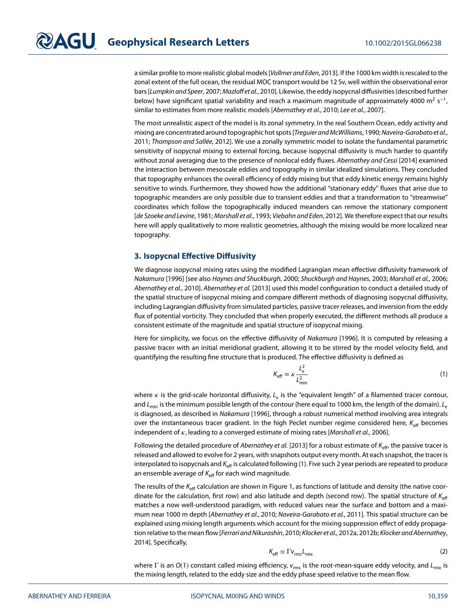a similar profile to more realistic global models [Vollmer and Eden, [2013\]](#page-9-6). If the 1000 km width is rescaled to the zonal extent of the full ocean, the residual MOC transport would be 12 Sv, well within the observational error bars [Lumpkin and Speer, [2007;](#page-8-8) Mazloff et al., [2010\]](#page-8-29). Likewise, the eddy isopycnal diffusivities (described further below) have significant spatial variability and reach a maximum magnitude of approximately 4000 m<sup>2</sup> s<sup>-1</sup>, similar to estimates from more realistic models [Abernathey et al., [2010;](#page-7-8) Lee et al., [2007\]](#page-8-7).

The most unrealistic aspect of the model is its zonal symmetry. In the real Southern Ocean, eddy activity and mixing are concentrated around topographic hot spots [Treguier and McWilliams[, 1990;](#page-9-7) Naveira-Garabato et al., [2011;](#page-8-30) Thompson and Sallée, [2012\]](#page-9-8). We use a zonally symmetric model to isolate the fundamental parametric sensitivity of isopycnal mixing to external forcing, because isopycnal diffusivity is much harder to quantify without zonal averaging due to the presence of nonlocal eddy fluxes. Abernathey and Cessi [\[2014\]](#page-7-9) examined the interaction between mesoscale eddies and topography in similar idealized simulations. They concluded that topography enhances the overall efficiency of eddy mixing but that eddy kinetic energy remains highly sensitive to winds. Furthermore, they showed how the additional "stationary eddy" fluxes that arise due to topographic meanders are only possible due to transient eddies and that a transformation to "streamwise" coordinates which follow the topographically induced meanders can remove the stationary component [de Szoeke and Levine, [1981;](#page-7-10) Marshall et al., [1993;](#page-8-31) Viebahn and Eden, [2012\]](#page-9-9). We therefore expect that our results here will apply qualitatively to more realistic geometries, although the mixing would be more localized near topography.

### **3. Isopycnal Effective Diffusivity**

We diagnose isopycnal mixing rates using the modified Lagrangian mean effective diffusivity framework of Nakamura [\[1996\]](#page-8-23) [see also Haynes and Shuckburgh, [2000;](#page-8-32) Shuckburgh and Haynes, [2003;](#page-8-33) Marshall et al., [2006;](#page-8-34) Abernathey et al., [2010\]](#page-7-8). Abernathey et al. [\[2013\]](#page-7-7) used this model configuration to conduct a detailed study of the spatial structure of isopycnal mixing and compare different methods of diagnosing isopycnal diffusivity, including Lagrangian diffusivity from simulated particles, passive tracer releases, and inversion from the eddy flux of potential vorticity. They concluded that when properly executed, the different methods all produce a consistent estimate of the magnitude and spatial structure of isopycnal mixing.

Here for simplicity, we focus on the effective diffusivity of Nakamura [\[1996\]](#page-8-23). It is computed by releasing a passive tracer with an initial meridional gradient, allowing it to be stirred by the model velocity field, and quantifying the resulting fine structure that is produced. The effective diffusivity is defined as

<span id="page-3-0"></span>
$$
K_{\text{eff}} = \kappa \frac{L_e^2}{L_{\text{min}}^2} \tag{1}
$$

where  $\kappa$  is the grid-scale horizontal diffusivity,  $L_e$  is the "equivalent length" of a filamented tracer contour, and  $L_{\text{min}}$  is the minimum possible length of the contour (here equal to 1000 km, the length of the domain).  $L_e$ is diagnosed, as described in Nakamura [\[1996\]](#page-8-23), through a robust numerical method involving area integrals over the instantaneous tracer gradient. In the high Peclet number regime considered here,  $K_{\text{eff}}$  becomes independent of  $\kappa$ , leading to a converged estimate of mixing rates [Marshall et al., [2006\]](#page-8-34).

Following the detailed procedure of Abernathey et al. [\[2013\]](#page-7-7) for a robust estimate of  $K_{\text{eff}}$ , the passive tracer is released and allowed to evolve for 2 years, with snapshots output every month. At each snapshot, the tracer is interpolated to isopycnals and  $K_{\text{eff}}$  is calculated following [\(1\)](#page-3-0). Five such 2 year periods are repeated to produce an ensemble average of  $K_{\text{eff}}$  for each wind magnitude.

The results of the  $K_{\text{eff}}$  calculation are shown in Figure [1,](#page-4-0) as functions of latitude and density (the native coordinate for the calculation, first row) and also latitude and depth (second row). The spatial structure of  $K_{\text{eff}}$ matches a now well-understood paradigm, with reduced values near the surface and bottom and a maximum near 1000 m depth [Abernathey et al., [2010;](#page-7-8) Naveira-Garabato et al., [2011\]](#page-8-30). This spatial structure can be explained using mixing length arguments which account for the mixing suppression effect of eddy propaga-tion relative to the mean flow [Ferrari and Nikurashin, [2010;](#page-8-35) Klocker et al., [2012a,](#page-8-36) [2012b;](#page-8-37) Klocker and Abernathey, [2014\]](#page-8-38). Specifically,

<span id="page-3-1"></span>
$$
K_{\rm eff} \simeq \Gamma v_{\rm rms} L_{\rm mix} \tag{2}
$$

where Γ is an  $O(1)$  constant called mixing efficiency,  $v_{\rm rms}$  is the root-mean-square eddy velocity, and  $L_{\rm mix}$  is the mixing length, related to the eddy size and the eddy phase speed relative to the mean flow.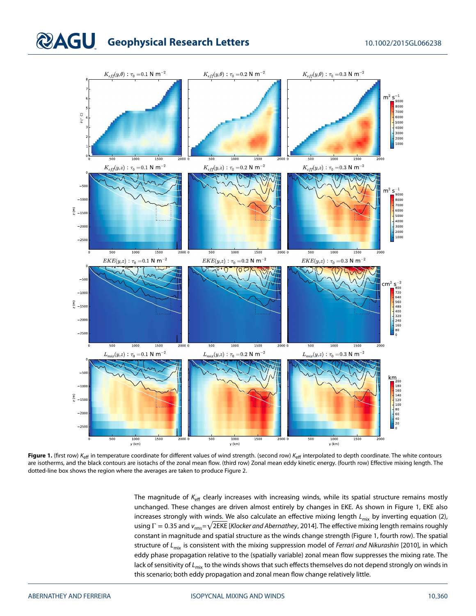### **QAGU** Geophysical Research Letters 10.1002/2015GL066238



<span id="page-4-0"></span>Figure 1. (first row) K<sub>eff</sub> in temperature coordinate for different values of wind strength. (second row) K<sub>eff</sub> interpolated to depth coordinate. The white contours are isotherms, and the black contours are isotachs of the zonal mean flow. (third row) Zonal mean eddy kinetic energy. (fourth row) Effective mixing length. The dotted-line box shows the region where the averages are taken to produce Figure [2.](#page-5-0)

The magnitude of  $K_{\text{eff}}$  clearly increases with increasing winds, while its spatial structure remains mostly unchanged. These changes are driven almost entirely by changes in EKE. As shown in Figure [1,](#page-4-0) EKE also increases strongly with winds. We also calculate an effective mixing length  $L_{mix}$  by inverting equation [\(2\)](#page-3-1), using  $\Gamma$  = 0.35 and  $v_{\rm rms}$ = $\sqrt{2\text{EKE}}$  [*Klocker and Abernathey*, [2014\]](#page-8-38). The effective mixing length remains roughly constant in magnitude and spatial structure as the winds change strength (Figure [1,](#page-4-0) fourth row). The spatial structure of  $L_{mix}$  is consistent with the mixing suppression model of Ferrari and Nikurashin [\[2010\]](#page-8-35), in which eddy phase propagation relative to the (spatially variable) zonal mean flow suppresses the mixing rate. The lack of sensitivity of  $L_{mix}$  to the winds shows that such effects themselves do not depend strongly on winds in this scenario; both eddy propagation and zonal mean flow change relatively little.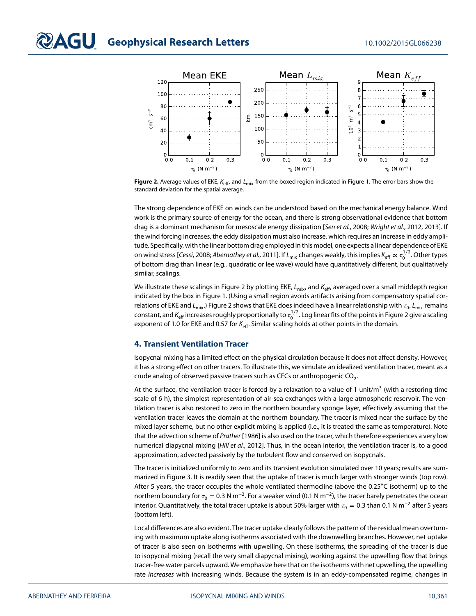

<span id="page-5-0"></span>Figure 2. Average values of EKE, K<sub>eff</sub>, and L<sub>mix</sub> from the boxed region indicated in Figure [1.](#page-4-0) The error bars show the standard deviation for the spatial average.

The strong dependence of EKE on winds can be understood based on the mechanical energy balance. Wind work is the primary source of energy for the ocean, and there is strong observational evidence that bottom drag is a dominant mechanism for mesoscale energy dissipation [Sen et al., [2008;](#page-8-39) Wright et al., [2012,](#page-9-10) [2013\]](#page-9-11). If the wind forcing increases, the eddy dissipation must also increase, which requires an increase in eddy amplitude. Specifically, with the linear bottom drag employed in this model, one expects a linear dependence of EKE on wind stress [*Cessi,* [2008;](#page-7-11) A*bernathey et al.,* [2011\]](#page-7-4). If  $L_{\rm mix}$  changes weakly, this implies  $K_{\rm eff} \propto \tau_0^{1/2}$ . Other types of bottom drag than linear (e.g., quadratic or lee wave) would have quantitatively different, but qualitatively similar, scalings.

We illustrate these scalings in Figure [2](#page-5-0) by plotting EKE,  $L_{mix}$ , and  $K_{\text{eff}}$ , averaged over a small middepth region indicated by the box in Figure [1.](#page-4-0) (Using a small region avoids artifacts arising from compensatory spatial correlations of EKE and  $L_{mix}$ .) Figure [2](#page-5-0) shows that EKE does indeed have a linear relationship with  $\tau_0$ ,  $L_{mix}$  remains constant, and  $K_{\rm eff}$  increases roughly proportionally to  $\tau^{1/2}_0$ . Log linear fits of the points in Figure [2](#page-5-0) give a scaling exponent of 1.0 for EKE and 0.57 for  $K_{\text{eff}}$ . Similar scaling holds at other points in the domain.

#### **4. Transient Ventilation Tracer**

Isopycnal mixing has a limited effect on the physical circulation because it does not affect density. However, it has a strong effect on other tracers. To illustrate this, we simulate an idealized ventilation tracer, meant as a crude analog of observed passive tracers such as CFCs or anthropogenic  $CO<sub>2</sub>$ .

At the surface, the ventilation tracer is forced by a relaxation to a value of 1 unit/ $m<sup>3</sup>$  (with a restoring time scale of 6 h), the simplest representation of air-sea exchanges with a large atmospheric reservoir. The ventilation tracer is also restored to zero in the northern boundary sponge layer, effectively assuming that the ventilation tracer leaves the domain at the northern boundary. The tracer is mixed near the surface by the mixed layer scheme, but no other explicit mixing is applied (i.e., it is treated the same as temperature). Note that the advection scheme of Prather [\[1986\]](#page-8-27) is also used on the tracer, which therefore experiences a very low numerical diapycnal mixing [Hill et al., [2012\]](#page-8-24). Thus, in the ocean interior, the ventilation tracer is, to a good approximation, advected passively by the turbulent flow and conserved on isopycnals.

The tracer is initialized uniformly to zero and its transient evolution simulated over 10 years; results are summarized in Figure [3.](#page-6-0) It is readily seen that the uptake of tracer is much larger with stronger winds (top row). After 5 years, the tracer occupies the whole ventilated thermocline (above the 0.25∘C isotherm) up to the northern boundary for  $\tau_0 = 0.3$  N m<sup>-2</sup>. For a weaker wind (0.1 N m<sup>-2</sup>), the tracer barely penetrates the ocean interior. Quantitatively, the total tracer uptake is about 50% larger with  $\tau_0 = 0.3$  than 0.1 N m<sup>-2</sup> after 5 years (bottom left).

Local differences are also evident. The tracer uptake clearly follows the pattern of the residual mean overturning with maximum uptake along isotherms associated with the downwelling branches. However, net uptake of tracer is also seen on isotherms with upwelling. On these isotherms, the spreading of the tracer is due to isopycnal mixing (recall the very small diapycnal mixing), working against the upwelling flow that brings tracer-free water parcels upward. We emphasize here that on the isotherms with net upwelling, the upwelling rate increases with increasing winds. Because the system is in an eddy-compensated regime, changes in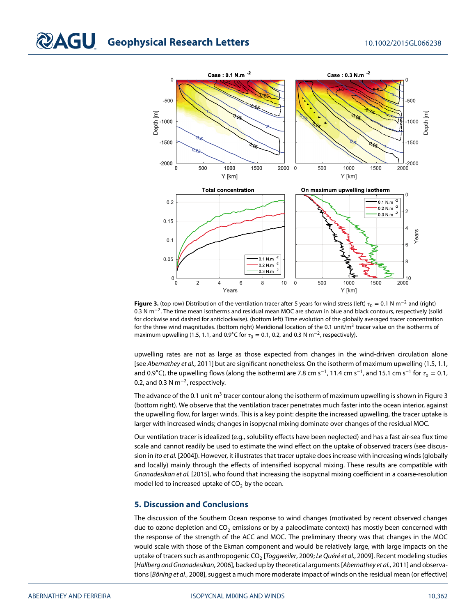

<span id="page-6-0"></span>**Figure 3.** (top row) Distribution of the ventilation tracer after 5 years for wind stress (left)  $\tau_0 = 0.1$  N m<sup>-2</sup> and (right) 0.3 N m<sup>−</sup>2. The time mean isotherms and residual mean MOC are shown in blue and black contours, respectively (solid for clockwise and dashed for anticlockwise). (bottom left) Time evolution of the globally averaged tracer concentration for the three wind magnitudes. (bottom right) Meridional location of the 0.1 unit/m<sup>3</sup> tracer value on the isotherms of maximum upwelling (1.5, 1.1, and 0.9°C for  $\tau_0 = 0.1$ , 0.2, and 0.3 N m<sup>-2</sup>, respectively).

upwelling rates are not as large as those expected from changes in the wind-driven circulation alone [see Abernathey et al., [2011\]](#page-7-4) but are significant nonetheless. On the isotherm of maximum upwelling (1.5, 1.1, and 0.9°C), the upwelling flows (along the isotherm) are 7.8 cm s<sup>-1</sup>, 11.4 cm s<sup>-1</sup>, and 15.1 cm s<sup>-1</sup> for  $\tau_0 = 0.1$ , 0.2, and 0.3 N m<sup>-2</sup>, respectively.

The advance of the 0.1 unit  $m<sup>3</sup>$  tracer contour along the isotherm of maximum upwelling is shown in Figure [3](#page-6-0) (bottom right). We observe that the ventilation tracer penetrates much faster into the ocean interior, against the upwelling flow, for larger winds. This is a key point: despite the increased upwelling, the tracer uptake is larger with increased winds; changes in isopycnal mixing dominate over changes of the residual MOC.

Our ventilation tracer is idealized (e.g., solubility effects have been neglected) and has a fast air-sea flux time scale and cannot readily be used to estimate the wind effect on the uptake of observed tracers (see discus-sion in Ito et al. [\[2004\]](#page-8-40)). However, it illustrates that tracer uptake does increase with increasing winds (globally and locally) mainly through the effects of intensified isopycnal mixing. These results are compatible with Gnanadesikan et al. [\[2015\]](#page-8-22), who found that increasing the isopycnal mixing coefficient in a coarse-resolution model led to increased uptake of  $CO<sub>2</sub>$  by the ocean.

### **5. Discussion and Conclusions**

The discussion of the Southern Ocean response to wind changes (motivated by recent observed changes due to ozone depletion and  $CO<sub>2</sub>$  emissions or by a paleoclimate context) has mostly been concerned with the response of the strength of the ACC and MOC. The preliminary theory was that changes in the MOC would scale with those of the Ekman component and would be relatively large, with large impacts on the uptake of tracers such as anthropogenic CO<sub>2</sub> [Toggweiler, [2009;](#page-9-1) Le Quéré et al., [2009\]](#page-8-3). Recent modeling studies [Hallberg and Gnanadesikan, [2006\]](#page-8-14), backed up by theoretical arguments [Abernathey et al., [2011\]](#page-7-4) and observa-tions [Böning et al., [2008\]](#page-7-6), suggest a much more moderate impact of winds on the residual mean (or effective)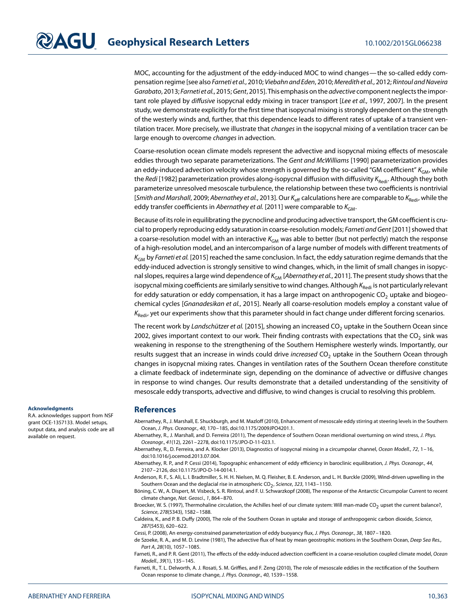MOC, accounting for the adjustment of the eddy-induced MOC to wind changes— the so-called eddy compensation regime [see also Farneti et al., [2010;](#page-7-3) Viebahn and Eden[, 2010;](#page-9-12) Meredith et al., [2012;](#page-8-15) Rintoul and Naveira Garabato, [2013;](#page-8-13) Farneti et al., [2015;](#page-8-16) Gent[, 2015\]](#page-8-17). This emphasis on the advective component neglects the impor-tant role played by diffusive isopycnal eddy mixing in tracer transport [Lee et al., [1997,](#page-8-6) [2007\]](#page-8-7). In the present study, we demonstrate explicitly for the first time that isopycnal mixing is strongly dependent on the strength of the westerly winds and, further, that this dependence leads to different rates of uptake of a transient ventilation tracer. More precisely, we illustrate that changes in the isopycnal mixing of a ventilation tracer can be large enough to overcome changes in advection.

Coarse-resolution ocean climate models represent the advective and isopycnal mixing effects of mesoscale eddies through two separate parameterizations. The Gent and McWilliams [\[1990\]](#page-8-41) parameterization provides an eddy-induced advection velocity whose strength is governed by the so-called "GM coefficient"  $K_{GM}$ , while the Redi [\[1982\]](#page-8-19) parameterization provides along-isopycnal diffusion with diffusivity K<sub>Redi</sub>. Although they both parameterize unresolved mesoscale turbulence, the relationship between these two coefficients is nontrivial [Smith and Marshall, [2009;](#page-8-42) Abernathey et al., [2013\]](#page-7-7). Our K<sub>eff</sub> calculations here are comparable to K<sub>Redi</sub>, while the eddy transfer coefficients in Abernathey et al. [\[2011\]](#page-7-4) were comparable to  $K_{GM}$ .

Because of its role in equilibrating the pycnocline and producing advective transport, the GM coefficient is crucial to properly reproducing eddy saturation in coarse-resolution models; Farneti and Gent [\[2011\]](#page-7-5) showed that a coarse-resolution model with an interactive  $K_{GM}$  was able to better (but not perfectly) match the response of a high-resolution model, and an intercomparison of a large number of models with different treatments of  $K_{GM}$  by Farneti et al. [\[2015\]](#page-8-16) reached the same conclusion. In fact, the eddy saturation regime demands that the eddy-induced advection is strongly sensitive to wind changes, which, in the limit of small changes in isopycnal slopes, requires a large wind dependence of  $K_{GM}$  [Abernathey et al., [2011\]](#page-7-4). The present study shows that the isopycnal mixing coefficients are similarly sensitive to wind changes. Although  $K_{\text{Redi}}$  is not particularly relevant for eddy saturation or eddy compensation, it has a large impact on anthropogenic  $CO<sub>2</sub>$  uptake and biogeo-chemical cycles [Gnanadesikan et al., [2015\]](#page-8-22). Nearly all coarse-resolution models employ a constant value of  $K_{\text{Red}i}$ , yet our experiments show that this parameter should in fact change under different forcing scenarios.

The recent work by Landschützer et al. [\[2015\]](#page-8-4), showing an increased  $CO<sub>2</sub>$  uptake in the Southern Ocean since 2002, gives important context to our work. Their finding contrasts with expectations that the CO<sub>2</sub> sink was weakening in response to the strengthening of the Southern Hemisphere westerly winds. Importantly, our results suggest that an increase in winds could drive increased CO<sub>2</sub> uptake in the Southern Ocean through changes in isopycnal mixing rates. Changes in ventilation rates of the Southern Ocean therefore constitute a climate feedback of indeterminate sign, depending on the dominance of advective or diffusive changes in response to wind changes. Our results demonstrate that a detailed understanding of the sensitivity of mesoscale eddy transports, advective and diffusive, to wind changes is crucial to resolving this problem.

#### **Acknowledgments**

R.A. acknowledges support from NSF grant OCE-1357133. Model setups, output data, and analysis code are all available on request.

#### **References**

<span id="page-7-8"></span>Abernathey, R., J. Marshall, E. Shuckburgh, and M. Mazloff (2010), Enhancement of mesoscale eddy stirring at steering levels in the Southern Ocean, J. Phys. Oceanogr., 40, 170–185, doi[:10.1175/2009JPO4201.1.](http://dx.doi.org/10.1175/2009JPO4201.1)

<span id="page-7-4"></span>Abernathey, R., J. Marshall, and D. Ferreira (2011), The dependence of Southern Ocean meridional overturning on wind stress, J. Phys. Oceanogr., 41(12), 2261–2278, doi[:10.1175/JPO-D-11-023.1.](http://dx.doi.org/10.1175/JPO-D-11-023.1)

<span id="page-7-7"></span>Abernathey, R., D. Ferreira, and A. Klocker (2013), Diagnostics of isopycnal mixing in a circumpolar channel, Ocean Modell., 72, 1–16, doi[:10.1016/j.ocemod.2013.07.004.](http://dx.doi.org/10.1016/j.ocemod.2013.07.004)

<span id="page-7-9"></span>Abernathey, R. P., and P. Cessi (2014), Topographic enhancement of eddy efficiency in baroclinic equilibration, J. Phys. Oceanogr., 44, 2107–2126, doi[:10.1175/JPO-D-14-0014.1.](http://dx.doi.org/10.1175/JPO-D-14-0014.1)

<span id="page-7-2"></span>Anderson, R. F., S. Ali, L. I. Bradtmiller, S. H. H. Nielsen, M. Q. Fleisher, B. E. Anderson, and L. H. Burckle (2009), Wind-driven upwelling in the Southern Ocean and the deglacial rise in atmospheric  $CO<sub>2</sub>$ , Science, 323, 1143 – 1150.

<span id="page-7-6"></span>Böning, C. W., A. Dispert, M. Visbeck, S. R. Rintoul, and F. U. Schwarzkopf (2008), The response of the Antarctic Circumpolar Current to recent climate change, Nat. Geosci., 1, 864–870.

<span id="page-7-0"></span>Broecker, W. S. (1997), Thermohaline circulation, the Achilles heel of our climate system: Will man-made CO<sub>2</sub> upset the current balance?, Science, 278(5343), 1582–1588.

<span id="page-7-1"></span>Caldeira, K., and P. B. Duffy (2000), The role of the Southern Ocean in uptake and storage of anthropogenic carbon dioxide, Science, 287(5453), 620–622.

<span id="page-7-11"></span><span id="page-7-10"></span>Cessi, P. (2008), An energy-constrained parameterization of eddy buoyancy flux, J. Phys. Oceanogr., 38, 1807–1820.

de Szoeke, R. A., and M. D. Levine (1981), The advective flux of heat by mean geostrophic motions in the Southern Ocean, Deep Sea Res., Part A, 28(10), 1057–1085.

<span id="page-7-5"></span>Farneti, R., and P. R. Gent (2011), The effects of the eddy-induced advection coefficient in a coarse-resolution coupled climate model, Ocean Modell., 39(1), 135–145.

<span id="page-7-3"></span>Farneti, R., T. L. Delworth, A. J. Rosati, S. M. Griffies, and F. Zeng (2010), The role of mesoscale eddies in the rectification of the Southern Ocean response to climate change, J. Phys. Oceanogr., 40, 1539–1558.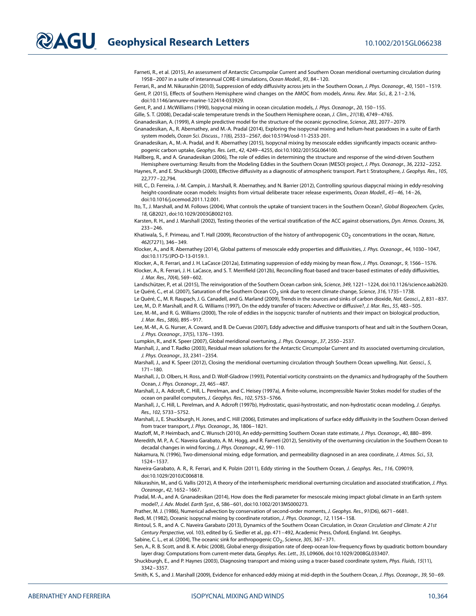<span id="page-8-16"></span>Farneti, R., et al. (2015), An assessment of Antarctic Circumpolar Current and Southern Ocean meridional overturning circulation during 1958–2007 in a suite of interannual CORE-II simulations, Ocean Modell., 93, 84–120.

<span id="page-8-35"></span><span id="page-8-17"></span>Ferrari, R., and M. Nikurashin (2010), Suppression of eddy diffusivity across jets in the Southern Ocean, J. Phys. Oceanogr., 40, 1501-1519. Gent, P. (2015), Effects of Southern Hemisphere wind changes on the AMOC from models, Annu. Rev. Mar. Sci., 8, 2.1–2.16, doi[:10.1146/annurev-marine-122414-033929.](http://dx.doi.org/10.1146/annurev-marine-122414-033929)

<span id="page-8-41"></span><span id="page-8-1"></span>Gent, P., and J. McWilliams (1990), Isopycnal mixing in ocean circulation models, J. Phys. Oceanogr., 20, 150–155.

<span id="page-8-10"></span>Gille, S. T. (2008), Decadal-scale temperature trends in the Southern Hemisphere ocean, J. Clim., 21(18), 4749-4765.

<span id="page-8-21"></span>Gnanadesikan, A. (1999), A simple predictive model for the structure of the oceanic pycnocline, Science, 283, 2077–2079.

Gnanadesikan, A., R. Abernathey, and M.-A. Pradal (2014), Exploring the isopycnal mixing and helium-heat paradoxes in a suite of Earth system models, Ocean Sci. Discuss., 11(6), 2533–2567, doi[:10.5194/osd-11-2533-201.](http://dx.doi.org/10.5194/osd-11-2533-201)

<span id="page-8-22"></span>Gnanadesikan, A., M.-A. Pradal, and R. Abernathey (2015), Isopycnal mixing by mesoscale eddies significantly impacts oceanic anthropogenic carbon uptake, Geophys. Res. Lett., 42, 4249–4255, doi[:10.1002/2015GL064100.](http://dx.doi.org/10.1002/2015GL064100)

<span id="page-8-14"></span>Hallberg, R., and A. Gnanadesikan (2006), The role of eddies in determining the structure and response of the wind-driven Southern

<span id="page-8-32"></span>Hemisphere overturning: Results from the Modeling Eddies in the Southern Ocean (MESO) project, J. Phys. Oceanogr., 36, 2232–2252. Haynes, P., and E. Shuckburgh (2000), Effective diffusivity as a diagnostic of atmospheric transport. Part I: Stratosphere, J. Geophys. Res., 105, 22,777–22,794.

<span id="page-8-24"></span>Hill, C., D. Ferreira, J.-M. Campin, J. Marshall, R. Abernathey, and N. Barrier (2012), Controlling spurious diapycnal mixing in eddy-resolving height-coordinate ocean models: Insights from virtual deliberate tracer release experiments, Ocean Modell., 45–46, 14–26, doi[:10.1016/j.ocemod.2011.12.001.](http://dx.doi.org/10.1016/j.ocemod.2011.12.001)

<span id="page-8-40"></span>Ito, T., J. Marshall, and M. Follows (2004), What controls the uptake of transient tracers in the Southern Ocean?, Global Biogeochem. Cycles, 18, GB2021, doi[:10.1029/2003GB002103.](http://dx.doi.org/10.1029/2003GB002103)

<span id="page-8-28"></span><span id="page-8-2"></span>Karsten, R. H., and J. Marshall (2002), Testing theories of the vertical stratification of the ACC against observations, Dyn. Atmos. Oceans, 36, 233–246.

Khatiwala, S., F. Primeau, and T. Hall (2009), Reconstruction of the history of anthropogenic CO<sub>2</sub> concentrations in the ocean, Nature, 462(7271), 346–349.

<span id="page-8-38"></span>Klocker, A., and R. Abernathey (2014), Global patterns of mesoscale eddy properties and diffusivities, J. Phys. Oceanogr., 44, 1030-1047, doi[:10.1175/JPO-D-13-0159.1.](http://dx.doi.org/10.1175/JPO-D-13-0159.1)

<span id="page-8-37"></span><span id="page-8-36"></span>Klocker, A., R. Ferrari, and J. H. LaCasce (2012a), Estimating suppression of eddy mixing by mean flow, J. Phys. Oceanogr., 9, 1566–1576.

Klocker, A., R. Ferrari, J. H. LaCasce, and S. T. Merrifield (2012b), Reconciling float-based and tracer-based estimates of eddy diffusivities, J. Mar. Res., 70(4), 569–602.

<span id="page-8-5"></span><span id="page-8-4"></span>Landschützer, P., et al. (2015), The reinvigoration of the Southern Ocean carbon sink, Science, 349, 1221-1224, doi[:10.1126/science.aab2620.](http://dx.doi.org/10.1126/science.aab2620) Le Quéré, C., et al. (2007), Saturation of the Southern Ocean CO<sub>2</sub> sink due to recent climate change, Science, 316, 1735-1738.

<span id="page-8-6"></span><span id="page-8-3"></span>Le Quéré, C., M. R. Raupach, J. G. Canadell, and G. Marland (2009), Trends in the sources and sinks of carbon dioxide, Nat. Geosci., 2, 831–837. Lee, M., D. P. Marshall, and R. G. Williams (1997), On the eddy transfer of tracers: Advective or diffusive?, J. Mar. Res., 55, 483–505.

<span id="page-8-18"></span>Lee, M.-M., and R. G. Williams (2000), The role of eddies in the isopycnic transfer of nutrients and their impact on biological production, J. Mar. Res., 58(6), 895–917.

<span id="page-8-7"></span>Lee, M.-M., A. G. Nurser, A. Coward, and B. De Cuevas (2007), Eddy advective and diffusive transports of heat and salt in the Southern Ocean, J. Phys. Oceanogr., 37(5), 1376–1393.

<span id="page-8-11"></span><span id="page-8-8"></span>Lumpkin, R., and K. Speer (2007), Global meridional overtuning, J. Phys. Oceanogr., 37, 2550–2537.

Marshall, J., and T. Radko (2003), Residual mean solutions for the Antarctic Circumpolar Current and its associated overturning circulation, J. Phys. Oceanogr., 33, 2341–2354.

<span id="page-8-9"></span>Marshall, J., and K. Speer (2012), Closing the meridional overturning circulation through Southern Ocean upwelling, Nat. Geosci., 5, 171–180.

<span id="page-8-31"></span>Marshall, J., D. Olbers, H. Ross, and D. Wolf-Gladrow (1993), Potential vorticity constraints on the dynamics and hydrography of the Southern Ocean, J. Phys. Oceanogr., 23, 465–487.

<span id="page-8-25"></span>Marshall, J., A. Adcroft, C. Hill, L. Perelman, and C. Heisey (1997a), A finite-volume, incompressible Navier Stokes model for studies of the ocean on parallel computers, J. Geophys. Res., 102, 5753–5766.

<span id="page-8-26"></span>Marshall, J., C. Hill, L. Perelman, and A. Adcroft (1997b), Hydrostatic, quasi-hystrostatic, and non-hydrostatic ocean modeling, J. Geophys. Res., 102, 5733–5752.

<span id="page-8-34"></span>Marshall, J., E. Shuckburgh, H. Jones, and C. Hill (2006), Estimates and implications of surface eddy diffusivity in the Southern Ocean derived from tracer transport, J. Phys. Oceanogr., 36, 1806–1821.

<span id="page-8-29"></span><span id="page-8-15"></span>Mazloff, M., P. Heimbach, and C. Wunsch (2010), An eddy-permitting Southern Ocean state estimate, J. Phys. Oceanogr., 40, 880–899.

Meredith, M. P., A. C. Naveira Garabato, A. M. Hogg, and R. Farneti (2012), Sensitivity of the overturning circulation in the Southern Ocean to decadal changes in wind forcing, J. Phys. Oceanogr., 42, 99–110.

<span id="page-8-23"></span>Nakamura, N. (1996), Two-dimensional mixing, edge formation, and permeability diagnosed in an area coordinate, J. Atmos. Sci., 53, 1524–1537.

<span id="page-8-30"></span>Naveira-Garabato, A. R., R. Ferrari, and K. Polzin (2011), Eddy stirring in the Southern Ocean, J. Geophys. Res., 116, C09019. doi[:10.1029/2010JC006818.](http://dx.doi.org/10.1029/2010JC006818)

<span id="page-8-12"></span>Nikurashin, M., and G. Vallis (2012), A theory of the interhemispheric meridional overturning circulation and associated stratification, J. Phys. Oceanogr., 42, 1652–1667.

<span id="page-8-20"></span>Pradal, M.-A., and A. Gnanadesikan (2014), How does the Redi parameter for mesoscale mixing impact global climate in an Earth system model?, J. Adv. Model. Earth Syst., 6, 586–601, doi[:10.1002/2013MS000273.](http://dx.doi.org/10.1002/2013MS000273)

<span id="page-8-27"></span><span id="page-8-19"></span>Prather, M. J. (1986), Numerical advection by conservation of second-order moments, J. Geophys. Res., 91(D6), 6671–6681.

<span id="page-8-13"></span>Redi, M. (1982), Oceanic isopycnal mixing by coordinate rotation, J. Phys. Oceanogr., 12, 1154–158.

Rintoul, S. R., and A. C. Naveira Garabato (2013), Dynamics of the Southern Ocean Circulation, in Ocean Circulation and Climate: A 21st Century Perspective, vol. 103, edited by G. Siedler et al., pp. 471–492, Academic Press, Oxford, England. Int. Geophys.

<span id="page-8-39"></span><span id="page-8-0"></span>Sabine, C. L., et al. (2004), The oceanic sink for anthropogenic  $CO_2$ , Science, 305, 367-371.

Sen, A., R. B. Scott, and B. K. Arbic (2008), Global energy dissipation rate of deep-ocean low-frequency flows by quadratic bottom boundary layer drag: Computations from current-meter data, Geophys. Res. Lett., 35, L09606, doi[:10.1029/2008GL033407.](http://dx.doi.org/10.1029/2008GL033407)

<span id="page-8-33"></span>Shuckburgh, E., and P. Haynes (2003), Diagnosing transport and mixing using a tracer-based coordinate system, Phys. Fluids, 15(11), 3342–3357.

<span id="page-8-42"></span>Smith, K. S., and J. Marshall (2009), Evidence for enhanced eddy mixing at mid-depth in the Southern Ocean, J. Phys. Oceanogr., 39, 50–69.